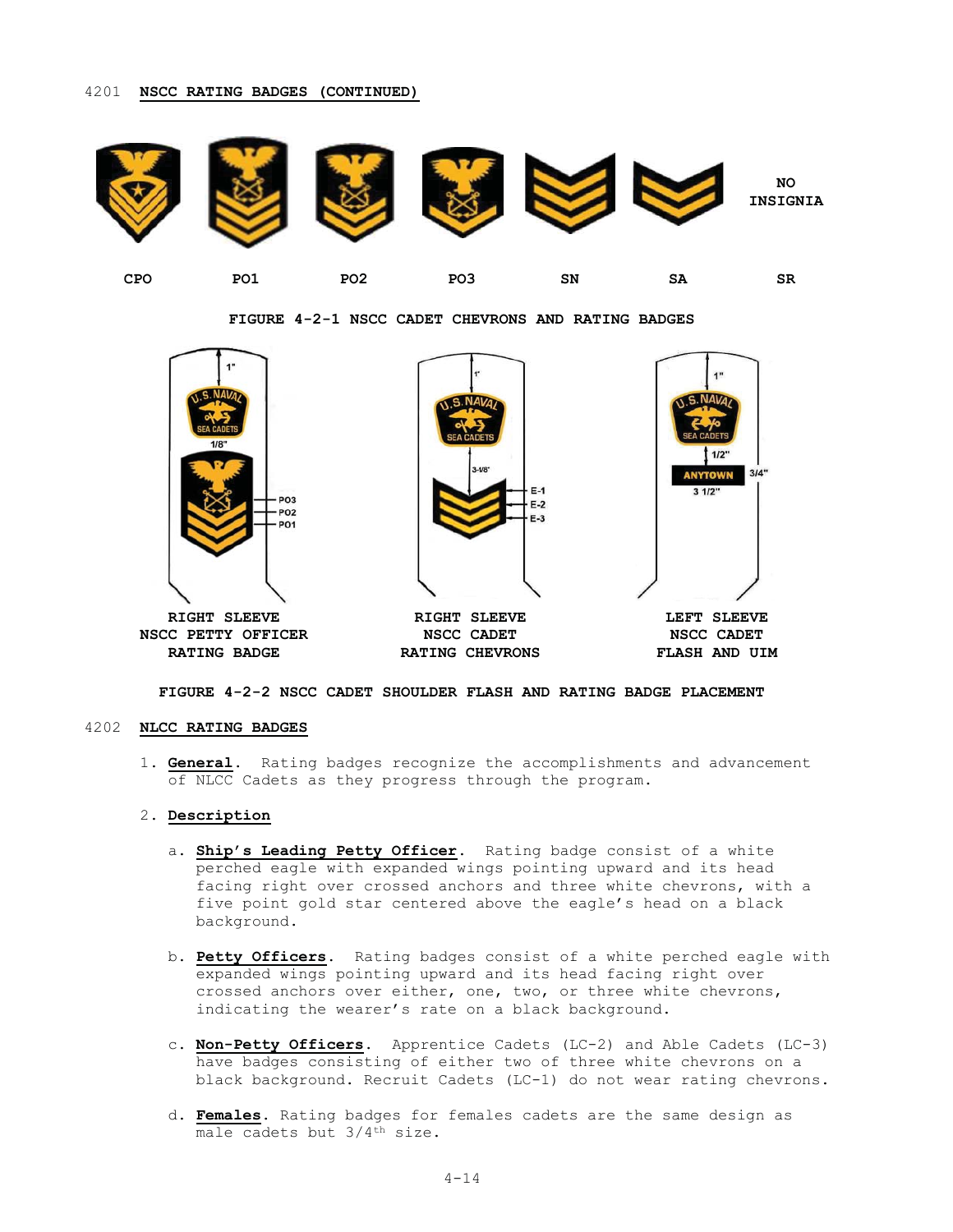# 4201 NSCC RATING BADGES (CONTINUED)



FIGURE 4-2-1 NSCC CADET CHEVRONS AND RATING BADGES



# FIGURE 4-2-2 NSCC CADET SHOULDER FLASH AND RATING BADGE PLACEMENT

#### 4202 NLCC RATING BADGES

1. General. Rating badges recognize the accomplishments and advancement of NLCC Cadets as they progress through the program.

### 2. Description

- a. Ship's Leading Petty Officer. Rating badge consist of a white perched eagle with expanded wings pointing upward and its head facing right over crossed anchors and three white chevrons, with a five point gold star centered above the eagle's head on a black background.
- b. Petty Officers. Rating badges consist of a white perched eagle with expanded wings pointing upward and its head facing right over crossed anchors over either, one, two, or three white chevrons, indicating the wearer's rate on a black background.
- c. Non-Petty Officers. Apprentice Cadets (LC-2) and Able Cadets (LC-3) have badges consisting of either two of three white chevrons on a black background. Recruit Cadets (LC-1) do not wear rating chevrons.
- d. Females. Rating badges for females cadets are the same design as male cadets but 3/4<sup>th</sup> size.